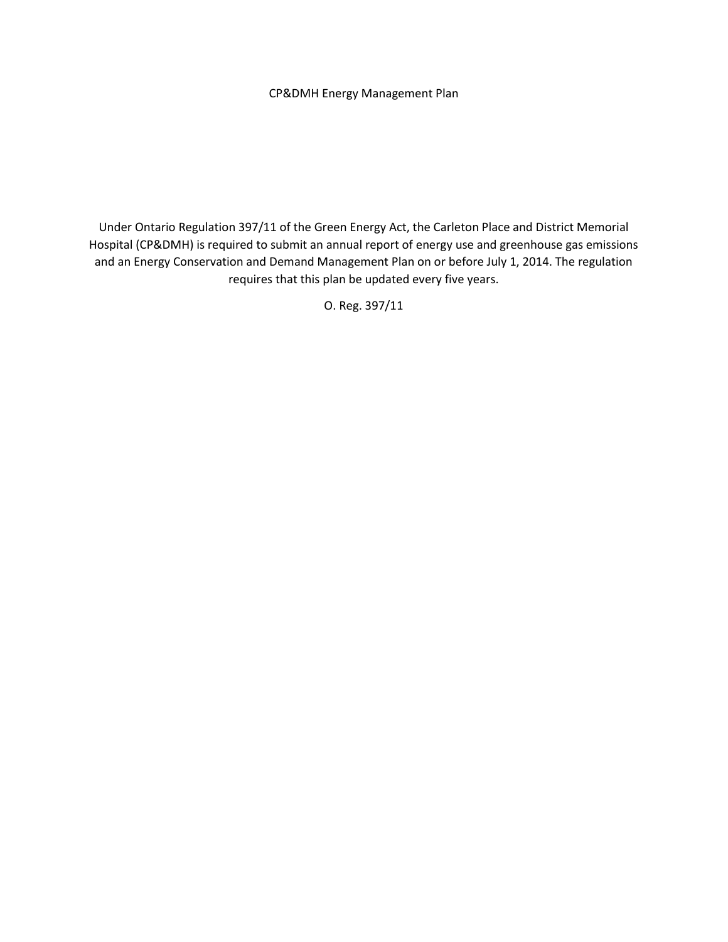#### CP&DMH Energy Management Plan

Under Ontario Regulation 397/11 of the Green Energy Act, the Carleton Place and District Memorial Hospital (CP&DMH) is required to submit an annual report of energy use and greenhouse gas emissions and an Energy Conservation and Demand Management Plan on or before July 1, 2014. The regulation requires that this plan be updated every five years.

O. Reg. 397/11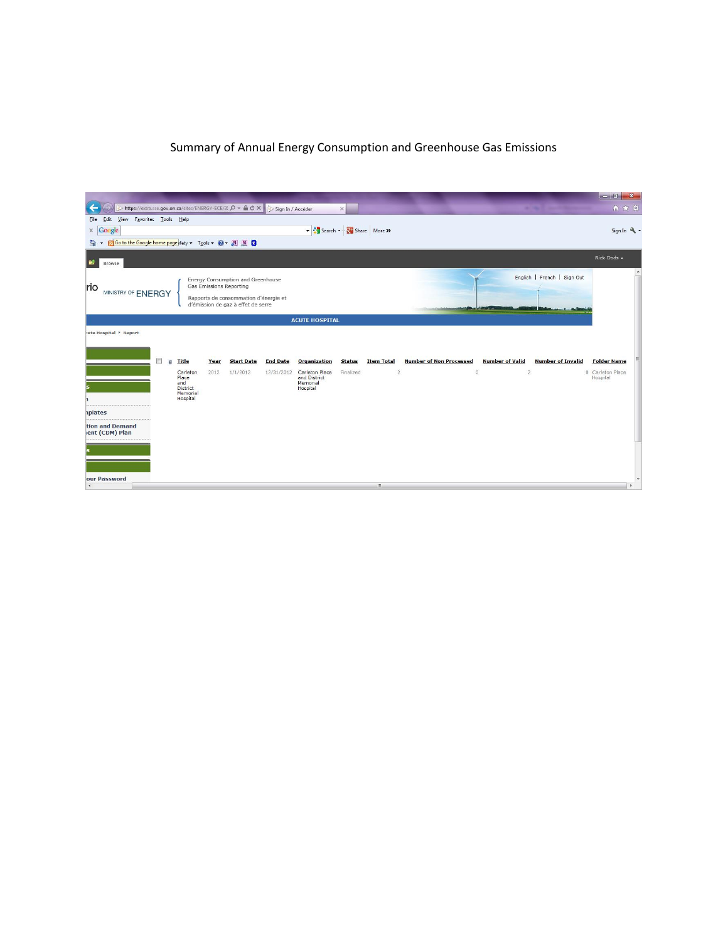# Summary of Annual Energy Consumption and Greenhouse Gas Emissions

| > https://extra.sse.gov.on.ca/sites/ENERGY-ECE/2( Q + A C X                       |                                  |                                                                            | Sign In / Accéder |                          | $\times$      |                   |                                |                            | <b>Secret Contractor</b><br>. . | 自大草                |
|-----------------------------------------------------------------------------------|----------------------------------|----------------------------------------------------------------------------|-------------------|--------------------------|---------------|-------------------|--------------------------------|----------------------------|---------------------------------|--------------------|
| File Edit View Favorites Tools Help                                               |                                  |                                                                            |                   |                          |               |                   |                                |                            |                                 |                    |
| $\times$ Google                                                                   |                                  |                                                                            |                   | Share More >             |               |                   |                                |                            |                                 | Sign In 4          |
| Go to the Google home page afety v Tools v O v N N C<br>G<br>$\blacktriangledown$ |                                  |                                                                            |                   |                          |               |                   |                                |                            |                                 |                    |
| 颤<br>Browse                                                                       |                                  |                                                                            |                   |                          |               |                   |                                |                            |                                 | Rick Dods -        |
| rio<br>MINISTRY OF ENERGY                                                         | Gas Emissions Reporting          | Energy Consumption and Greenhouse<br>Rapports de consommation d'énergie et |                   |                          |               |                   |                                |                            | English   French   Sign Out     | $\lambda$          |
|                                                                                   |                                  | d'émission de gaz à effet de serre                                         |                   |                          |               |                   |                                | <u>en service de la pa</u> |                                 |                    |
|                                                                                   |                                  |                                                                            |                   | <b>ACUTE HOSPITAL</b>    |               |                   |                                |                            |                                 |                    |
| :ute Hospital > Report                                                            |                                  |                                                                            |                   |                          |               |                   |                                |                            |                                 |                    |
|                                                                                   |                                  |                                                                            |                   |                          |               |                   |                                |                            |                                 |                    |
| $\blacksquare$<br>回                                                               | <b>Title</b><br>Year             | <b>Start Date</b>                                                          | <b>End Date</b>   | <b>Organization</b>      | <b>Status</b> | <b>Item Total</b> | <b>Number of Non Processed</b> | <b>Number of Valid</b>     | <b>Number of Invalid</b>        | <b>Folder Name</b> |
|                                                                                   | Carleton<br>2012                 | 1/1/2012                                                                   | 12/31/2012        | Carleton Place           | Finalized     | $\overline{2}$    |                                | $\circ$<br>$\overline{2}$  |                                 | 0 Carleton Place   |
|                                                                                   | Place<br>and                     |                                                                            |                   | and District<br>Memorial |               |                   |                                |                            |                                 | Hospital           |
|                                                                                   | District<br>Memorial<br>Hospital |                                                                            |                   | Hospital                 |               |                   |                                |                            |                                 |                    |
| <i>plates</i>                                                                     |                                  |                                                                            |                   |                          |               |                   |                                |                            |                                 |                    |
| tion and Demand<br>ent (CDM) Plan                                                 |                                  |                                                                            |                   |                          |               |                   |                                |                            |                                 |                    |
|                                                                                   |                                  |                                                                            |                   |                          |               |                   |                                |                            |                                 |                    |
|                                                                                   |                                  |                                                                            |                   |                          |               |                   |                                |                            |                                 |                    |
| our Password<br>$\leftarrow$                                                      |                                  |                                                                            |                   |                          |               | m                 |                                |                            |                                 |                    |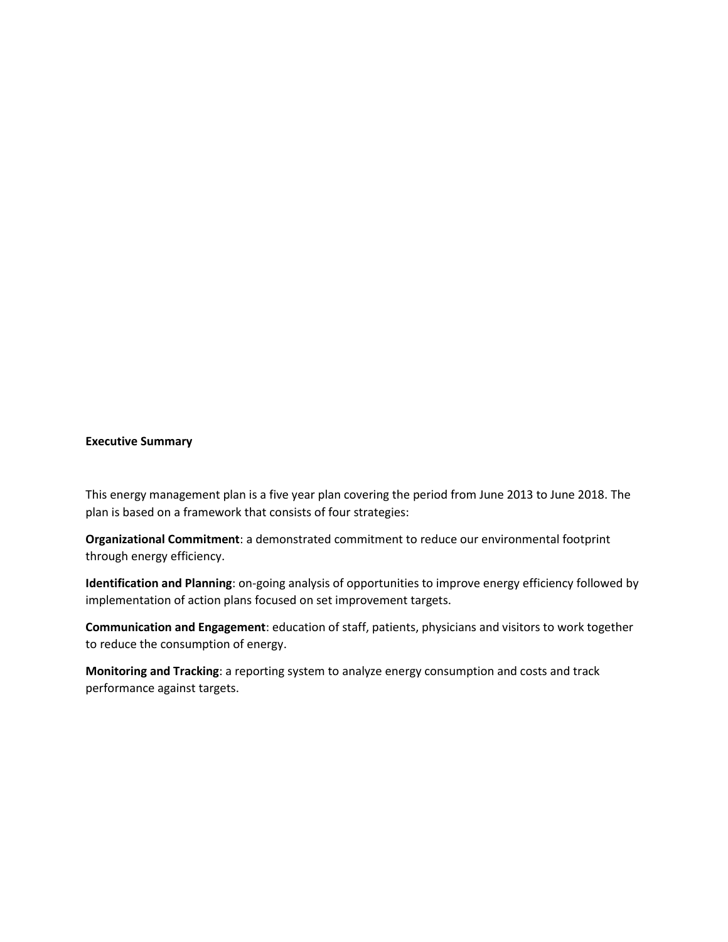#### **Executive Summary**

This energy management plan is a five year plan covering the period from June 2013 to June 2018. The plan is based on a framework that consists of four strategies:

**Organizational Commitment**: a demonstrated commitment to reduce our environmental footprint through energy efficiency.

**Identification and Planning**: on-going analysis of opportunities to improve energy efficiency followed by implementation of action plans focused on set improvement targets.

**Communication and Engagement**: education of staff, patients, physicians and visitors to work together to reduce the consumption of energy.

**Monitoring and Tracking**: a reporting system to analyze energy consumption and costs and track performance against targets.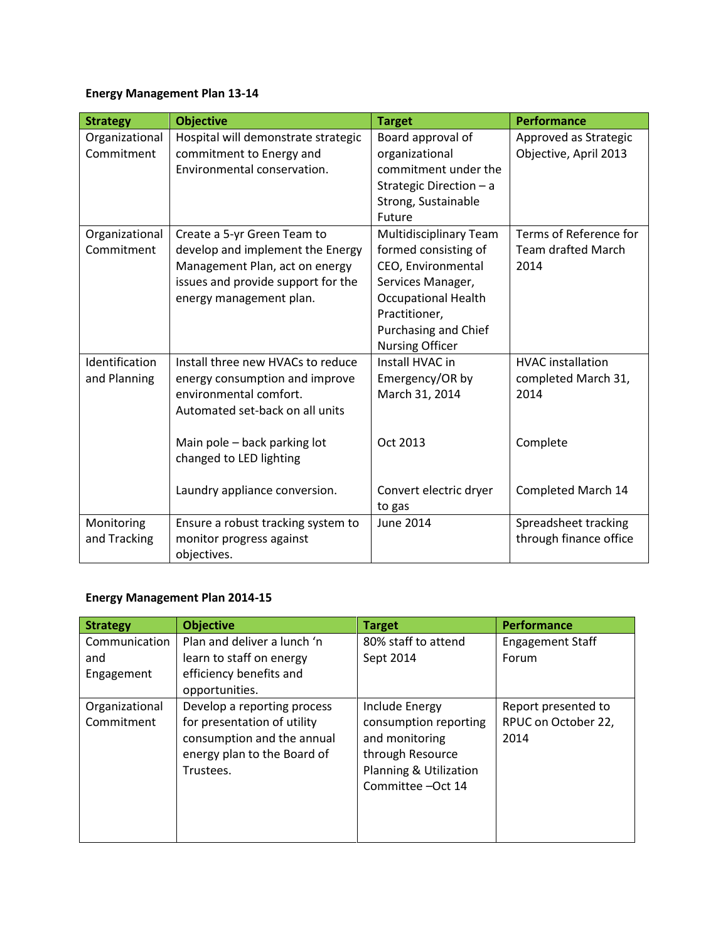# **Energy Management Plan 13-14**

| <b>Strategy</b> | <b>Objective</b>                    | <b>Target</b>                 | <b>Performance</b>        |
|-----------------|-------------------------------------|-------------------------------|---------------------------|
| Organizational  | Hospital will demonstrate strategic | Board approval of             | Approved as Strategic     |
| Commitment      | commitment to Energy and            | organizational                | Objective, April 2013     |
|                 | Environmental conservation.         | commitment under the          |                           |
|                 |                                     | Strategic Direction - a       |                           |
|                 |                                     | Strong, Sustainable           |                           |
|                 |                                     | Future                        |                           |
| Organizational  | Create a 5-yr Green Team to         | <b>Multidisciplinary Team</b> | Terms of Reference for    |
| Commitment      | develop and implement the Energy    | formed consisting of          | <b>Team drafted March</b> |
|                 | Management Plan, act on energy      | CEO, Environmental            | 2014                      |
|                 | issues and provide support for the  | Services Manager,             |                           |
|                 | energy management plan.             | <b>Occupational Health</b>    |                           |
|                 |                                     | Practitioner,                 |                           |
|                 |                                     | Purchasing and Chief          |                           |
|                 |                                     | <b>Nursing Officer</b>        |                           |
| Identification  | Install three new HVACs to reduce   | Install HVAC in               | <b>HVAC</b> installation  |
| and Planning    | energy consumption and improve      | Emergency/OR by               | completed March 31,       |
|                 | environmental comfort.              | March 31, 2014                | 2014                      |
|                 | Automated set-back on all units     |                               |                           |
|                 |                                     |                               |                           |
|                 | Main pole - back parking lot        | Oct 2013                      | Complete                  |
|                 | changed to LED lighting             |                               |                           |
|                 |                                     |                               |                           |
|                 | Laundry appliance conversion.       | Convert electric dryer        | Completed March 14        |
|                 |                                     | to gas                        |                           |
| Monitoring      | Ensure a robust tracking system to  | <b>June 2014</b>              | Spreadsheet tracking      |
| and Tracking    | monitor progress against            |                               | through finance office    |
|                 | objectives.                         |                               |                           |

## **Energy Management Plan 2014-15**

| <b>Strategy</b> | <b>Objective</b>            | <b>Target</b>          | <b>Performance</b>      |
|-----------------|-----------------------------|------------------------|-------------------------|
| Communication   | Plan and deliver a lunch 'n | 80% staff to attend    | <b>Engagement Staff</b> |
| and             | learn to staff on energy    | Sept 2014              | Forum                   |
| Engagement      | efficiency benefits and     |                        |                         |
|                 | opportunities.              |                        |                         |
| Organizational  | Develop a reporting process | Include Energy         | Report presented to     |
| Commitment      | for presentation of utility | consumption reporting  | RPUC on October 22,     |
|                 | consumption and the annual  | and monitoring         | 2014                    |
|                 | energy plan to the Board of | through Resource       |                         |
|                 | Trustees.                   | Planning & Utilization |                         |
|                 |                             | Committee - Oct 14     |                         |
|                 |                             |                        |                         |
|                 |                             |                        |                         |
|                 |                             |                        |                         |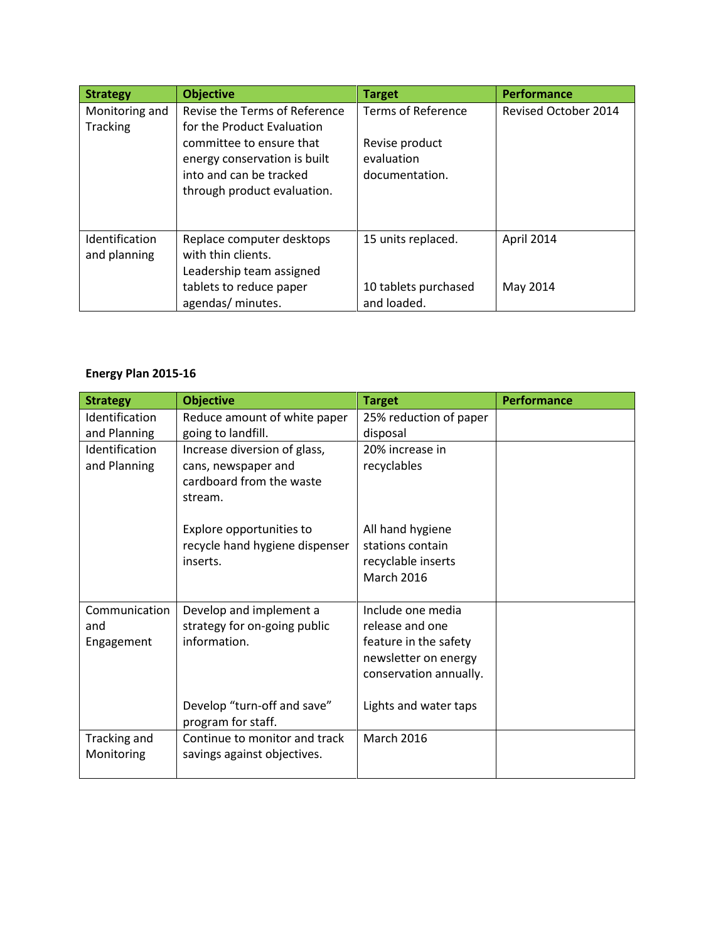| <b>Strategy</b>       | <b>Objective</b>              | <b>Target</b>             | <b>Performance</b>          |
|-----------------------|-------------------------------|---------------------------|-----------------------------|
| Monitoring and        | Revise the Terms of Reference | <b>Terms of Reference</b> | <b>Revised October 2014</b> |
| Tracking              | for the Product Evaluation    |                           |                             |
|                       | committee to ensure that      | Revise product            |                             |
|                       | energy conservation is built  | evaluation                |                             |
|                       | into and can be tracked       | documentation.            |                             |
|                       | through product evaluation.   |                           |                             |
|                       |                               |                           |                             |
|                       |                               |                           |                             |
| <b>Identification</b> | Replace computer desktops     | 15 units replaced.        | April 2014                  |
| and planning          | with thin clients.            |                           |                             |
|                       | Leadership team assigned      |                           |                             |
|                       | tablets to reduce paper       | 10 tablets purchased      | May 2014                    |
|                       | agendas/ minutes.             | and loaded.               |                             |

## **Energy Plan 2015-16**

| <b>Strategy</b> | <b>Objective</b>               | <b>Target</b>          | <b>Performance</b> |
|-----------------|--------------------------------|------------------------|--------------------|
| Identification  | Reduce amount of white paper   | 25% reduction of paper |                    |
| and Planning    | going to landfill.             | disposal               |                    |
| Identification  | Increase diversion of glass,   | 20% increase in        |                    |
| and Planning    | cans, newspaper and            | recyclables            |                    |
|                 | cardboard from the waste       |                        |                    |
|                 | stream.                        |                        |                    |
|                 |                                |                        |                    |
|                 | Explore opportunities to       | All hand hygiene       |                    |
|                 | recycle hand hygiene dispenser | stations contain       |                    |
|                 | inserts.                       | recyclable inserts     |                    |
|                 |                                | <b>March 2016</b>      |                    |
|                 |                                |                        |                    |
| Communication   | Develop and implement a        | Include one media      |                    |
| and             | strategy for on-going public   | release and one        |                    |
| Engagement      | information.                   | feature in the safety  |                    |
|                 |                                | newsletter on energy   |                    |
|                 |                                | conservation annually. |                    |
|                 |                                |                        |                    |
|                 | Develop "turn-off and save"    | Lights and water taps  |                    |
|                 | program for staff.             |                        |                    |
| Tracking and    | Continue to monitor and track  | <b>March 2016</b>      |                    |
| Monitoring      | savings against objectives.    |                        |                    |
|                 |                                |                        |                    |